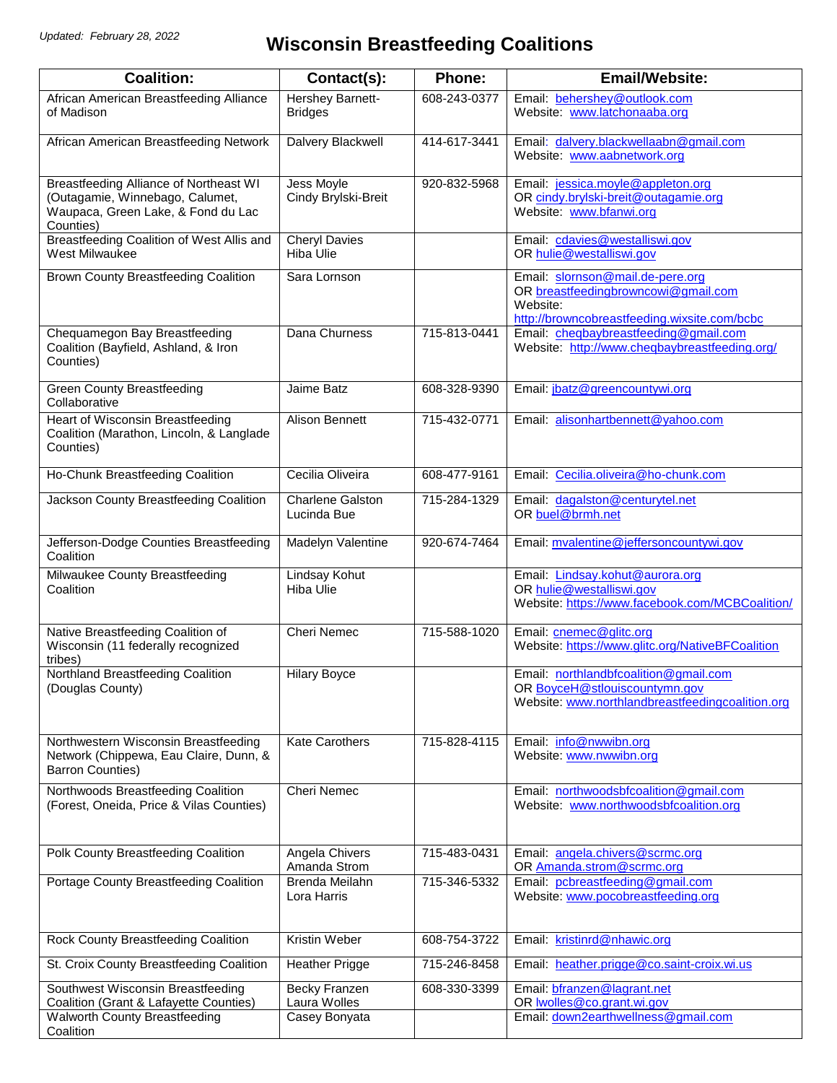## **Wisconsin Breastfeeding Coalitions**

| <b>Coalition:</b>                                                                                                                   | Contact(s):                            | Phone:       | <b>Email/Website:</b>                                                                                                               |
|-------------------------------------------------------------------------------------------------------------------------------------|----------------------------------------|--------------|-------------------------------------------------------------------------------------------------------------------------------------|
| African American Breastfeeding Alliance<br>of Madison                                                                               | Hershey Barnett-<br><b>Bridges</b>     | 608-243-0377 | Email: behershey@outlook.com<br>Website: www.latchonaaba.org                                                                        |
| African American Breastfeeding Network                                                                                              | Dalvery Blackwell                      | 414-617-3441 | Email: dalvery.blackwellaabn@gmail.com<br>Website: www.aabnetwork.org                                                               |
| <b>Breastfeeding Alliance of Northeast WI</b><br>(Outagamie, Winnebago, Calumet,<br>Waupaca, Green Lake, & Fond du Lac<br>Counties) | Jess Moyle<br>Cindy Brylski-Breit      | 920-832-5968 | Email: jessica.moyle@appleton.org<br>OR cindy.brylski-breit@outagamie.org<br>Website: www.bfanwi.org                                |
| Breastfeeding Coalition of West Allis and<br>West Milwaukee                                                                         | <b>Cheryl Davies</b><br>Hiba Ulie      |              | Email: cdavies@westalliswi.gov<br>OR hulie@westalliswi.gov                                                                          |
| Brown County Breastfeeding Coalition                                                                                                | Sara Lornson                           |              | Email: slornson@mail.de-pere.org<br>OR breastfeedingbrowncowi@gmail.com<br>Website:<br>http://browncobreastfeeding.wixsite.com/bcbc |
| Chequamegon Bay Breastfeeding<br>Coalition (Bayfield, Ashland, & Iron<br>Counties)                                                  | Dana Churness                          | 715-813-0441 | Email: cheqbaybreastfeeding@gmail.com<br>Website: http://www.cheqbaybreastfeeding.org/                                              |
| <b>Green County Breastfeeding</b><br>Collaborative                                                                                  | <b>Jaime Batz</b>                      | 608-328-9390 | Email: jbatz@greencountywi.org                                                                                                      |
| Heart of Wisconsin Breastfeeding<br>Coalition (Marathon, Lincoln, & Langlade<br>Counties)                                           | <b>Alison Bennett</b>                  | 715-432-0771 | Email: alisonhartbennett@yahoo.com                                                                                                  |
| Ho-Chunk Breastfeeding Coalition                                                                                                    | Cecilia Oliveira                       | 608-477-9161 | Email: Cecilia.oliveira@ho-chunk.com                                                                                                |
| Jackson County Breastfeeding Coalition                                                                                              | <b>Charlene Galston</b><br>Lucinda Bue | 715-284-1329 | Email: dagalston@centurytel.net<br>OR buel@brmh.net                                                                                 |
| Jefferson-Dodge Counties Breastfeeding<br>Coalition                                                                                 | Madelyn Valentine                      | 920-674-7464 | Email: mvalentine@jeffersoncountywi.gov                                                                                             |
| Milwaukee County Breastfeeding<br>Coalition                                                                                         | <b>Lindsay Kohut</b><br>Hiba Ulie      |              | Email: Lindsay.kohut@aurora.org<br>OR hulie@westalliswi.gov<br>Website: https://www.facebook.com/MCBCoalition/                      |
| Native Breastfeeding Coalition of<br>Wisconsin (11 federally recognized<br>tribes)                                                  | Cheri Nemec                            | 715-588-1020 | Email: cnemec@glitc.org<br>Website: https://www.glitc.org/NativeBFCoalition                                                         |
| Northland Breastfeeding Coalition<br>(Douglas County)                                                                               | <b>Hilary Boyce</b>                    |              | Email: northlandbfcoalition@gmail.com<br>OR BoyceH@stlouiscountymn.gov<br>Website: www.northlandbreastfeedingcoalition.org          |
| Northwestern Wisconsin Breastfeeding<br>Network (Chippewa, Eau Claire, Dunn, &<br><b>Barron Counties)</b>                           | <b>Kate Carothers</b>                  | 715-828-4115 | Email: info@nwwibn.org<br>Website: www.nwwibn.org                                                                                   |
| Northwoods Breastfeeding Coalition<br>(Forest, Oneida, Price & Vilas Counties)                                                      | <b>Cheri Nemec</b>                     |              | Email: northwoodsbfcoalition@gmail.com<br>Website: www.northwoodsbfcoalition.org                                                    |
| Polk County Breastfeeding Coalition                                                                                                 | Angela Chivers<br>Amanda Strom         | 715-483-0431 | Email: angela.chivers@scrmc.org<br>OR Amanda.strom@scrmc.org                                                                        |
| Portage County Breastfeeding Coalition                                                                                              | <b>Brenda Meilahn</b><br>Lora Harris   | 715-346-5332 | Email: pcbreastfeeding@gmail.com<br>Website: www.pocobreastfeeding.org                                                              |
| Rock County Breastfeeding Coalition                                                                                                 | <b>Kristin Weber</b>                   | 608-754-3722 | Email: kristinrd@nhawic.org                                                                                                         |
| St. Croix County Breastfeeding Coalition                                                                                            | <b>Heather Prigge</b>                  | 715-246-8458 | Email: heather.prigge@co.saint-croix.wi.us                                                                                          |
| Southwest Wisconsin Breastfeeding<br>Coalition (Grant & Lafayette Counties)                                                         | Becky Franzen<br>Laura Wolles          | 608-330-3399 | Email: bfranzen@lagrant.net<br>OR <b>wolles</b> @co.grant.wi.gov                                                                    |
| <b>Walworth County Breastfeeding</b><br>Coalition                                                                                   | Casey Bonyata                          |              | Email: down2earthwellness@gmail.com                                                                                                 |